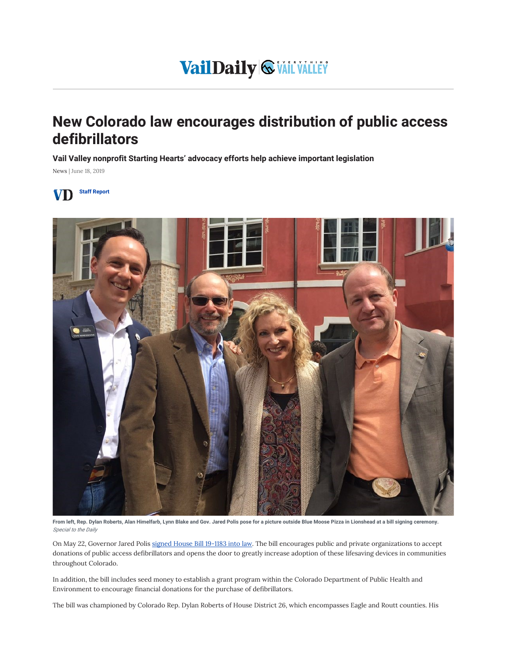## VailDaily & VAIL VALLEY

## New Colorado law encourages distribution of public access defibrillators

Vail Valley nonprofit Starting Hearts' advocacy efforts help achieve important legislation

News | June 18, 2019





From left, Rep. Dylan Roberts, Alan Himelfarb, Lynn Blake and Gov. Jared Polis pose for a picture outside Blue Moose Pizza in Lionshead at a bill signing ceremony. Special to the Daily

On May 22, Governor Jared Polis signed House Bill 19-1183 into law. The bill encourages public and private organizations to accept donations of public access defibrillators and opens the door to greatly increase adoption of these lifesaving devices in communities throughout Colorado.

In addition, the bill includes seed money to establish a grant program within the Colorado Department of Public Health and Environment to encourage financial donations for the purchase of defibrillators.

The bill was championed by Colorado Rep. Dylan Roberts of House District 26, which encompasses Eagle and Routt counties. His